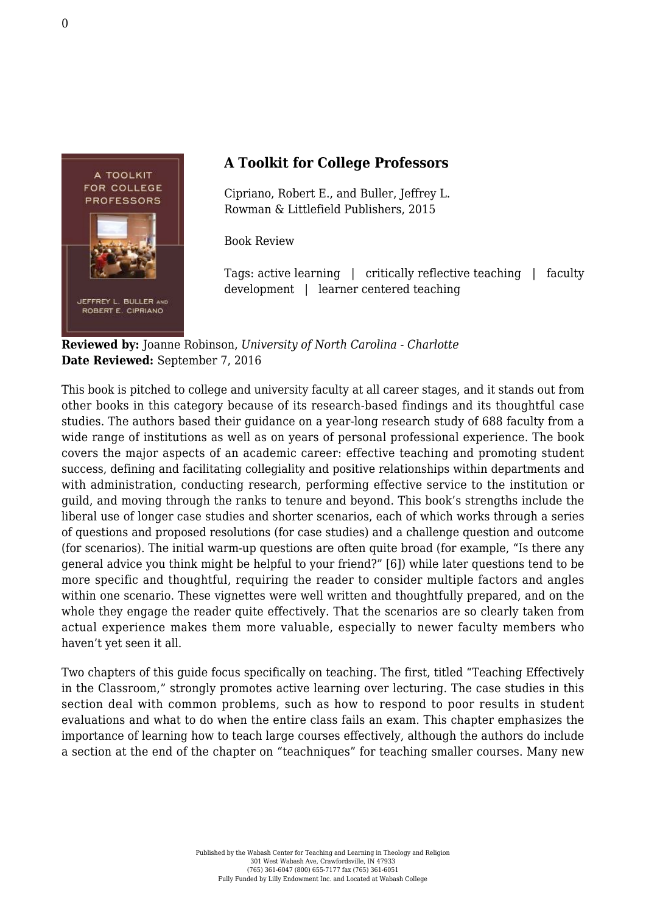

## **A Toolkit for College Professors**

Cipriano, Robert E., and Buller, Jeffrey L. [Rowman & Littlefield Publishers, 2015](https://rowman.com/ISBN/9781475820843/A-Toolkit-for-College-Professors#)

Book Review

Tags: active learning | critically reflective teaching | faculty development | learner centered teaching

**Reviewed by:** Joanne Robinson, *University of North Carolina - Charlotte* **Date Reviewed:** September 7, 2016

This book is pitched to college and university faculty at all career stages, and it stands out from other books in this category because of its research-based findings and its thoughtful case studies. The authors based their guidance on a year-long research study of 688 faculty from a wide range of institutions as well as on years of personal professional experience. The book covers the major aspects of an academic career: effective teaching and promoting student success, defining and facilitating collegiality and positive relationships within departments and with administration, conducting research, performing effective service to the institution or guild, and moving through the ranks to tenure and beyond. This book's strengths include the liberal use of longer case studies and shorter scenarios, each of which works through a series of questions and proposed resolutions (for case studies) and a challenge question and outcome (for scenarios). The initial warm-up questions are often quite broad (for example, "Is there any general advice you think might be helpful to your friend?" [6]) while later questions tend to be more specific and thoughtful, requiring the reader to consider multiple factors and angles within one scenario. These vignettes were well written and thoughtfully prepared, and on the whole they engage the reader quite effectively. That the scenarios are so clearly taken from actual experience makes them more valuable, especially to newer faculty members who haven't yet seen it all.

Two chapters of this guide focus specifically on teaching. The first, titled "Teaching Effectively in the Classroom," strongly promotes active learning over lecturing. The case studies in this section deal with common problems, such as how to respond to poor results in student evaluations and what to do when the entire class fails an exam. This chapter emphasizes the importance of learning how to teach large courses effectively, although the authors do include a section at the end of the chapter on "teachniques" for teaching smaller courses. Many new